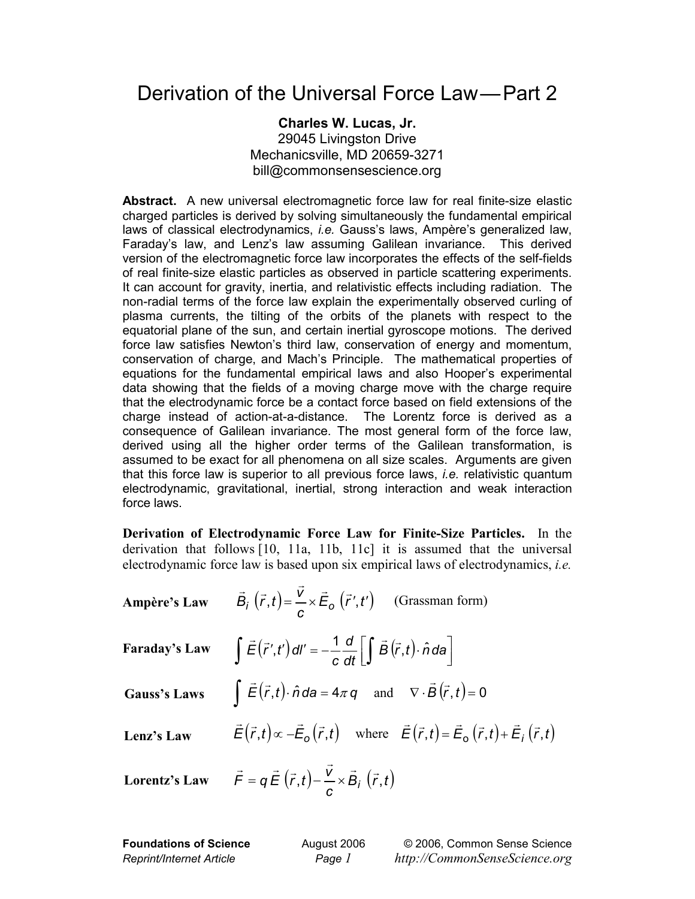## Derivation of the Universal Force Law—Part 2

## **Charles W. Lucas, Jr.**  29045 Livingston Drive Mechanicsville, MD 20659-3271 bill@commonsensescience.org

**Abstract.** A new universal electromagnetic force law for real finite-size elastic charged particles is derived by solving simultaneously the fundamental empirical laws of classical electrodynamics, *i.e.* Gauss's laws, Ampère's generalized law, Faraday's law, and Lenz's law assuming Galilean invariance. This derived version of the electromagnetic force law incorporates the effects of the self-fields of real finite-size elastic particles as observed in particle scattering experiments. It can account for gravity, inertia, and relativistic effects including radiation. The non-radial terms of the force law explain the experimentally observed curling of plasma currents, the tilting of the orbits of the planets with respect to the equatorial plane of the sun, and certain inertial gyroscope motions. The derived force law satisfies Newton's third law, conservation of energy and momentum, conservation of charge, and Mach's Principle. The mathematical properties of equations for the fundamental empirical laws and also Hooper's experimental data showing that the fields of a moving charge move with the charge require that the electrodynamic force be a contact force based on field extensions of the charge instead of action-at-a-distance. The Lorentz force is derived as a consequence of Galilean invariance. The most general form of the force law, derived using all the higher order terms of the Galilean transformation, is assumed to be exact for all phenomena on all size scales. Arguments are given that this force law is superior to all previous force laws, *i.e.* relativistic quantum electrodynamic, gravitational, inertial, strong interaction and weak interaction force laws.

**Derivation of Electrodynamic Force Law for Finite-Size Particles.** In the derivation that follows [10, 11a, 11b, 11c] it is assumed that the universal electrodynamic force law is based upon six empirical laws of electrodynamics, *i.e.* 

**Ampère's Law** 
$$
\vec{B}_i(\vec{r},t) = \frac{\vec{v}}{c} \times \vec{E}_o(\vec{r}',t')
$$
 (Grassman form)

Faraday's Law 
$$
\int \vec{E}(\vec{r}')
$$

$$
\int \vec{E}(\vec{r}',t') \, dl' = -\frac{1}{c} \frac{d}{dt} \left[ \int \vec{B}(\vec{r},t) \cdot \hat{n} \, da \right]
$$

**Gauss's Laws** 

Gauss's Laws 
$$
\int \vec{E}(\vec{r},t) \cdot \hat{n} d\theta = 4\pi q
$$
 and  $\nabla \cdot \vec{B}(\vec{r},t) = 0$   
\nLenz's Law  $\vec{E}(\vec{r},t) \propto -\vec{E}_{o}(\vec{r},t)$  where  $\vec{E}(\vec{r},t) = \vec{E}_{o}(\vec{r},t) + \vec{E}_{i}(\vec{r},t)$ 

Lorentz's Law 
$$
\vec{F} = q \vec{E} (\vec{r}, t) - \frac{\vec{v}}{c} \times \vec{B}_i (\vec{r}, t)
$$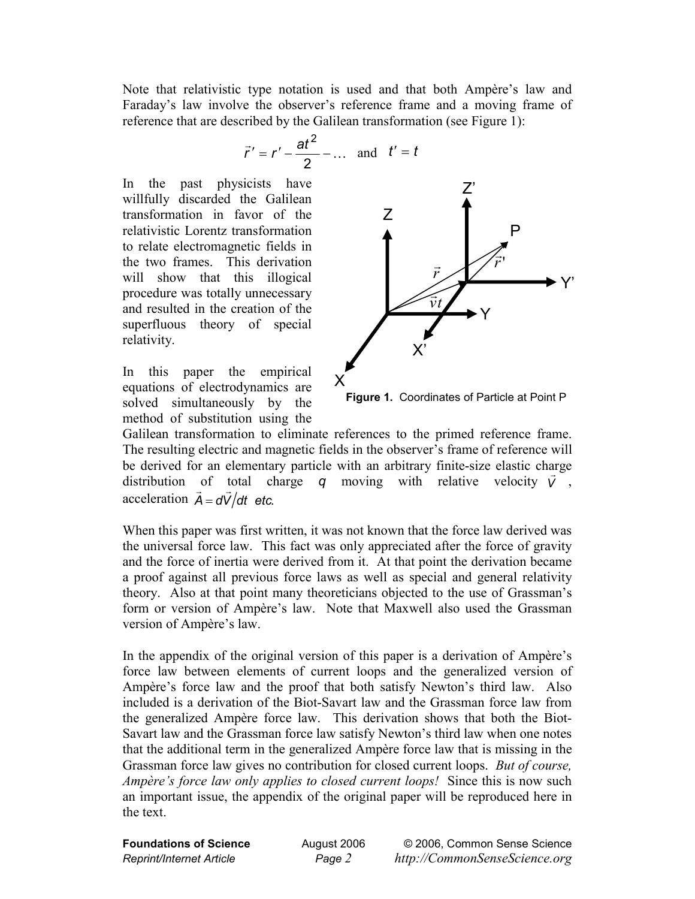Note that relativistic type notation is used and that both Ampère's law and Faraday's law involve the observer's reference frame and a moving frame of reference that are described by the Galilean transformation (see Figure 1):

$$
\vec{r}' = r' - \frac{at^2}{2} - \dots
$$
 and  $t' = t$ 

In the past physicists have willfully discarded the Galilean transformation in favor of the relativistic Lorentz transformation to relate electromagnetic fields in the two frames. This derivation will show that this illogical procedure was totally unnecessary and resulted in the creation of the superfluous theory of special relativity.

In this paper the empirical equations of electrodynamics are solved simultaneously by the method of substitution using the



**Figure 1.** Coordinates of Particle at Point P

Galilean transformation to eliminate references to the primed reference frame. The resulting electric and magnetic fields in the observer's frame of reference will be derived for an elementary particle with an arbitrary finite-size elastic charge distribution of total charge  $q$  moving with relative velocity  $\vec{v}$ ,  $\vec{A} = d\vec{V}/dt$  *etc.*  $\ddot{\phantom{0}}$ 

When this paper was first written, it was not known that the force law derived was the universal force law. This fact was only appreciated after the force of gravity and the force of inertia were derived from it. At that point the derivation became a proof against all previous force laws as well as special and general relativity theory. Also at that point many theoreticians objected to the use of Grassman's form or version of Ampère's law. Note that Maxwell also used the Grassman version of Ampère's law.

In the appendix of the original version of this paper is a derivation of Ampère's force law between elements of current loops and the generalized version of Ampère's force law and the proof that both satisfy Newton's third law. Also included is a derivation of the Biot-Savart law and the Grassman force law from the generalized Ampère force law. This derivation shows that both the Biot-Savart law and the Grassman force law satisfy Newton's third law when one notes that the additional term in the generalized Ampère force law that is missing in the Grassman force law gives no contribution for closed current loops. *But of course, Ampère's force law only applies to closed current loops!*Since this is now such an important issue, the appendix of the original paper will be reproduced here in the text.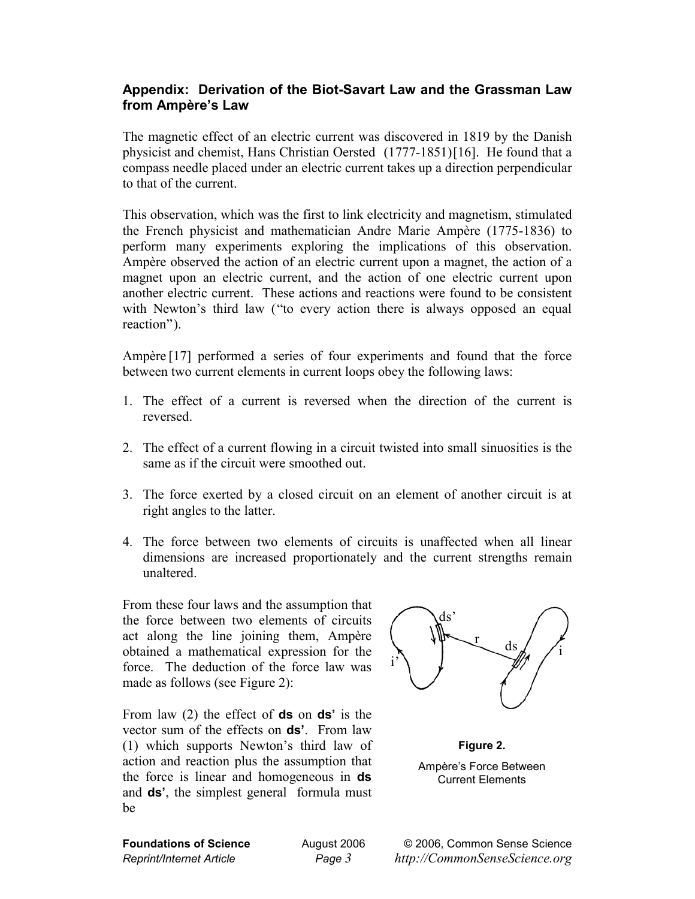## **Appendix: Derivation of the Biot-Savart Law and the Grassman Law from Ampère's Law**

The magnetic effect of an electric current was discovered in 1819 by the Danish physicist and chemist, Hans Christian Oersted (1777-1851)[16]. He found that a compass needle placed under an electric current takes up a direction perpendicular to that of the current.

This observation, which was the first to link electricity and magnetism, stimulated the French physicist and mathematician Andre Marie Ampère (1775-1836) to perform many experiments exploring the implications of this observation. Ampère observed the action of an electric current upon a magnet, the action of a magnet upon an electric current, and the action of one electric current upon another electric current. These actions and reactions were found to be consistent with Newton's third law ("to every action there is always opposed an equal reaction").

Ampère [17] performed a series of four experiments and found that the force between two current elements in current loops obey the following laws:

- 1. The effect of a current is reversed when the direction of the current is reversed.
- 2. The effect of a current flowing in a circuit twisted into small sinuosities is the same as if the circuit were smoothed out.
- 3. The force exerted by a closed circuit on an element of another circuit is at right angles to the latter.
- 4. The force between two elements of circuits is unaffected when all linear dimensions are increased proportionately and the current strengths remain unaltered.

From these four laws and the assumption that the force between two elements of circuits act along the line joining them, Ampère obtained a mathematical expression for the force. The deduction of the force law was made as follows (see Figure 2):

From law (2) the effect of **ds** on **ds'** is the vector sum of the effects on **ds'**. From law (1) which supports Newton's third law of action and reaction plus the assumption that the force is linear and homogeneous in **ds** and **ds'**, the simplest general formula must be



**Figure 2.** Ampère's Force Between Current Elements

**Foundations of Science** August 2006 © 2006, Common Sense Science *Reprint/Internet Article Page 3 http://CommonSenseScience.org*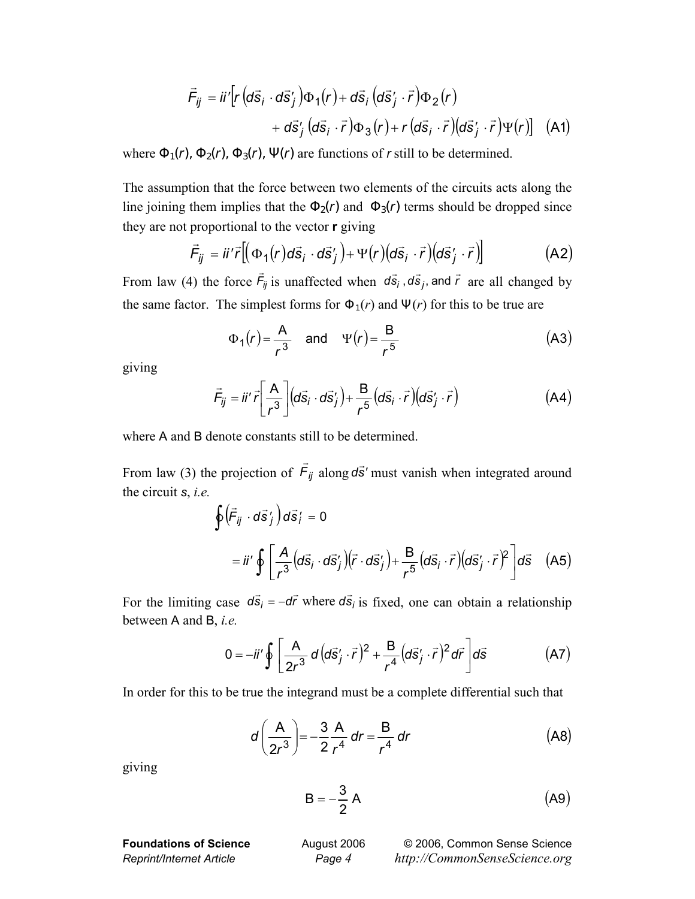$$
\vec{F}_{ij} = ii' \left[ r \left( d\vec{s}_i \cdot d\vec{s}_j' \right) \Phi_1(r) + d\vec{s}_i \left( d\vec{s}_j' \cdot \vec{r} \right) \Phi_2(r) \right. \\ \left. + d\vec{s}_j \left( d\vec{s}_i \cdot \vec{r} \right) \Phi_3(r) + r \left( d\vec{s}_i \cdot \vec{r} \right) \left( d\vec{s}_j' \cdot \vec{r} \right) \Psi(r) \right] \tag{A1}
$$

where  $\Phi_1(r)$ ,  $\Phi_2(r)$ ,  $\Phi_3(r)$ ,  $\Psi(r)$  are functions of *r* still to be determined.

The assumption that the force between two elements of the circuits acts along the line joining them implies that the  $\Phi_2(r)$  and  $\Phi_3(r)$  terms should be dropped since they are not proportional to the vector **r** giving

$$
\vec{F}_{ij} = \vec{u}'\vec{r} \left[ \left( \Phi_1(r) d\vec{s}_i \cdot d\vec{s}'_j \right) + \Psi(r) \left( d\vec{s}_i \cdot \vec{r} \right) \left( d\vec{s}'_j \cdot \vec{r} \right) \right]
$$
(A2)

From law (4) the force  $\vec{F}_{ij}$  is unaffected when  $d\vec{s}_i$ ,  $d\vec{s}_j$ , and  $\vec{r}$  are all changed by the same factor. The simplest forms for  $\Phi_1(r)$  and  $\Psi(r)$  for this to be true are

$$
\Phi_1(r) = \frac{A}{r^3} \quad \text{and} \quad \Psi(r) = \frac{B}{r^5} \tag{A3}
$$

giving

$$
\vec{F}_{ij} = \vec{\mathit{u}}'\vec{\mathit{r}} \left[\frac{A}{r^3}\right] \left(d\vec{s}_i \cdot d\vec{s}_j'\right) + \frac{B}{r^5} \left(d\vec{s}_i \cdot \vec{r}\right) \left(d\vec{s}_j' \cdot \vec{r}\right) \tag{A4}
$$

where A and B denote constants still to be determined.

From law (3) the projection of *Fij*  $\vec{F}_{ij}$  along  $d\vec{s}'$  must vanish when integrated around the circuit *s*, *i.e.* 

$$
\oint \left(\vec{F}_{ij} \cdot d\vec{s}'_j\right) d\vec{s}'_i = 0
$$
\n
$$
= ii' \oint \left[\frac{A}{r^3} \left(d\vec{s}_i \cdot d\vec{s}'_j\right) \left(\vec{r} \cdot d\vec{s}'_j\right) + \frac{B}{r^5} \left(d\vec{s}_i \cdot \vec{r}\right) \left(d\vec{s}'_j \cdot \vec{r}\right)^2\right] d\vec{s} \quad \text{(A5)}
$$

For the limiting case  $d\vec{s}_i = -d\vec{r}$  where  $d\vec{s}_i$  is fixed, one can obtain a relationship between A and B, *i.e.* 

$$
0 = -ii'\oint \left[\frac{A}{2r^3} d\left(d\vec{s}'_j \cdot \vec{r}\right)^2 + \frac{B}{r^4} \left(d\vec{s}'_j \cdot \vec{r}\right)^2 d\vec{r}\right] d\vec{s}
$$
 (A7)

In order for this to be true the integrand must be a complete differential such that

$$
d\left(\frac{A}{2r^3}\right) = -\frac{3}{2}\frac{A}{r^4} dr = \frac{B}{r^4} dr
$$
 (A8)

giving

$$
B = -\frac{3}{2} A \tag{A9}
$$

**Foundations of Science August 2006** © 2006, Common Sense Science *Reprint/Internet Article Page 4 http://CommonSenseScience.org*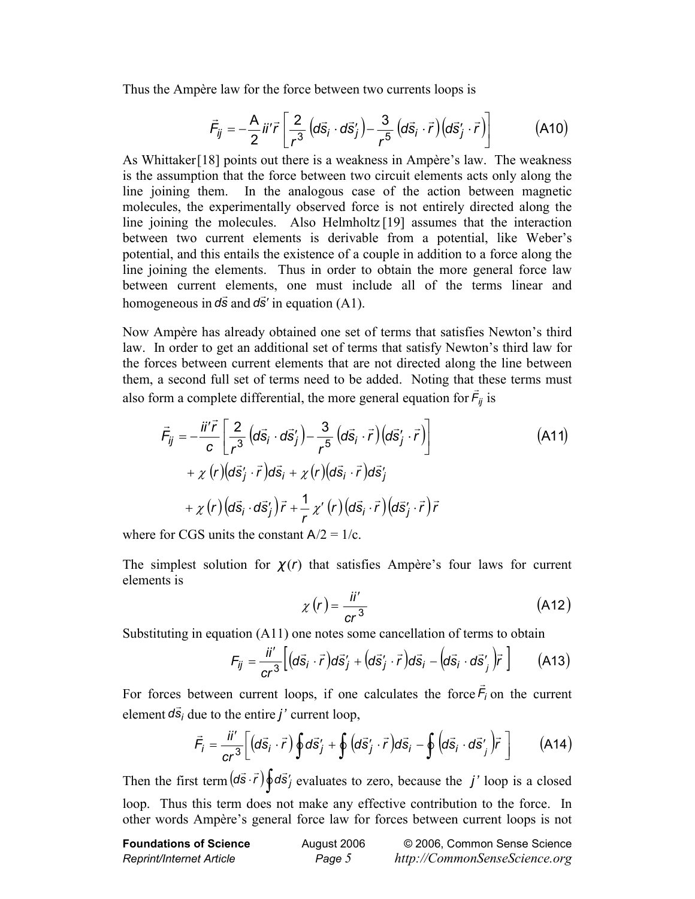Thus the Ampère law for the force between two currents loops is

$$
\vec{F}_{ij} = -\frac{A}{2} \vec{i} \vec{r} \left[ \frac{2}{r^3} \left( d\vec{s}_i \cdot d\vec{s}_j' \right) - \frac{3}{r^5} \left( d\vec{s}_i \cdot \vec{r} \right) \left( d\vec{s}_j' \cdot \vec{r} \right) \right]
$$
(A10)

As Whittaker[18] points out there is a weakness in Ampère's law. The weakness is the assumption that the force between two circuit elements acts only along the line joining them. In the analogous case of the action between magnetic molecules, the experimentally observed force is not entirely directed along the line joining the molecules. Also Helmholtz [19] assumes that the interaction between two current elements is derivable from a potential, like Weber's potential, and this entails the existence of a couple in addition to a force along the line joining the elements. Thus in order to obtain the more general force law between current elements, one must include all of the terms linear and homogeneous in  $d\vec{s}$  and  $d\vec{s}'$  in equation (A1).

Now Ampère has already obtained one set of terms that satisfies Newton's third law. In order to get an additional set of terms that satisfy Newton's third law for the forces between current elements that are not directed along the line between them, a second full set of terms need to be added. Noting that these terms must also form a complete differential, the more general equation for  $\vec{F}_{ij}$  is

$$
\vec{F}_{ij} = -\frac{\vec{n}'\vec{r}}{c} \left[ \frac{2}{r^3} \left( d\vec{s}_i \cdot d\vec{s}_j' \right) - \frac{3}{r^5} \left( d\vec{s}_i \cdot \vec{r} \right) \left( d\vec{s}_j' \cdot \vec{r} \right) \right] \n+ \chi(r) \left( d\vec{s}_j' \cdot \vec{r} \right) d\vec{s}_i + \chi(r) \left( d\vec{s}_i \cdot \vec{r} \right) d\vec{s}_j' \n+ \chi(r) \left( d\vec{s}_i \cdot d\vec{s}_j' \right) \vec{r} + \frac{1}{r} \chi'(r) \left( d\vec{s}_i \cdot \vec{r} \right) \left( d\vec{s}_j' \cdot \vec{r} \right) \vec{r}
$$
\n(A11)

where for CGS units the constant  $A/2 = 1/c$ .

The simplest solution for  $\chi(r)$  that satisfies Ampère's four laws for current elements is

$$
\chi\left(r\right) = \frac{\ddot{a}'}{cr^3} \tag{A12}
$$

Substituting in equation (A11) one notes some cancellation of terms to obtain

$$
F_{ij} = \frac{ii'}{cr^3} \Big[ \big( d\vec{s}_i \cdot \vec{r} \big) d\vec{s}'_j + \big( d\vec{s}'_j \cdot \vec{r} \big) d\vec{s}_i - \big( d\vec{s}_i \cdot d\vec{s}'_j \big) \vec{r} \Big] \qquad (A13)
$$

For forces between current loops, if one calculates the force  $\vec{F}_i$  on the current element  $d\vec{s}_i$  due to the entire *j'* current loop,

$$
\vec{F}_i = \frac{\ddot{H}'}{cr^3} \bigg[ \big( d\vec{s}_i \cdot \vec{r} \big) \oint d\vec{s}'_j + \oint \big( d\vec{s}'_j \cdot \vec{r} \big) d\vec{s}_i - \oint \big( d\vec{s}_i \cdot d\vec{s}'_j \big) \vec{r} \bigg]
$$
(A14)

Then the first term  $(d\vec{s} \cdot \vec{r}) \oint d\vec{s}$  *j* evaluates to zero, because the *j'* loop is a closed loop. Thus this term does not make any effective contribution to the force. In other words Ampère's general force law for forces between current loops is not

| <b>Foundations of Science</b> | August 2006 | © 2006, Common Sense Science  |
|-------------------------------|-------------|-------------------------------|
| Reprint/Internet Article      | Page 5      | http://CommonSenseScience.org |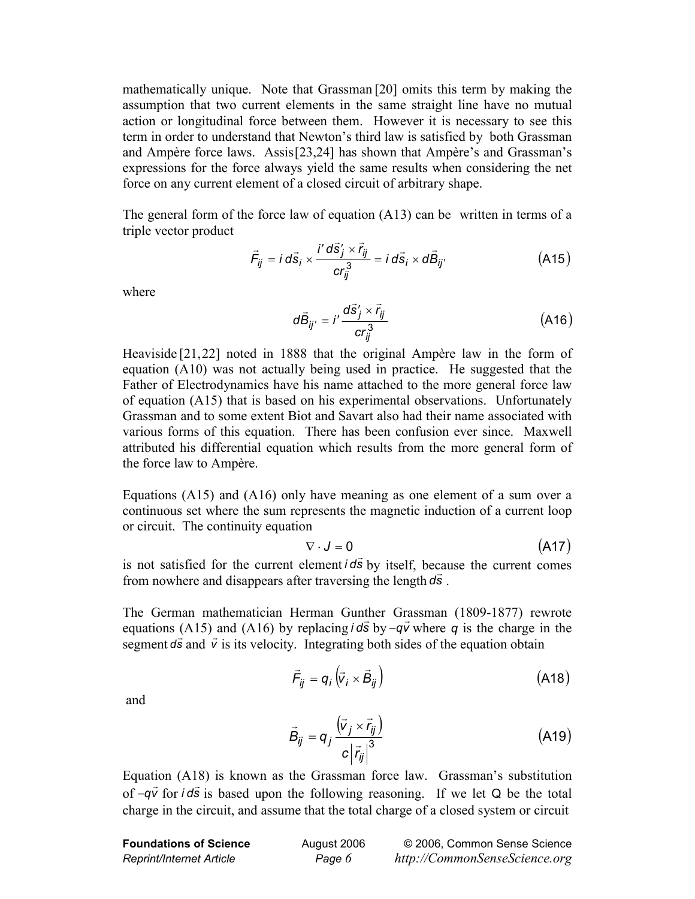mathematically unique. Note that Grassman [20] omits this term by making the assumption that two current elements in the same straight line have no mutual action or longitudinal force between them. However it is necessary to see this term in order to understand that Newton's third law is satisfied by both Grassman and Ampère force laws. Assis[23,24] has shown that Ampère's and Grassman's expressions for the force always yield the same results when considering the net force on any current element of a closed circuit of arbitrary shape.

The general form of the force law of equation (A13) can be written in terms of a triple vector product

$$
\vec{F}_{ij} = i d\vec{s}_i \times \frac{i' d\vec{s}'_j \times \vec{r}_{ij}}{c r_{ij}^3} = i d\vec{s}_i \times d\vec{B}_{ij'}
$$
 (A15)

where

$$
d\vec{B}_{ij'} = i'\frac{d\vec{s}'_j \times \vec{r}_{ij}}{cr_{ij}^3}
$$
 (A16)

Heaviside [21,22] noted in 1888 that the original Ampère law in the form of equation (A10) was not actually being used in practice. He suggested that the Father of Electrodynamics have his name attached to the more general force law of equation (A15) that is based on his experimental observations. Unfortunately Grassman and to some extent Biot and Savart also had their name associated with various forms of this equation. There has been confusion ever since. Maxwell attributed his differential equation which results from the more general form of the force law to Ampère.

Equations (A15) and (A16) only have meaning as one element of a sum over a continuous set where the sum represents the magnetic induction of a current loop or circuit. The continuity equation

$$
\nabla \cdot \mathbf{J} = 0 \tag{A17}
$$

is not satisfied for the current element  $\vec{l}$  *ds* by itself, because the current comes from nowhere and disappears after traversing the length *ds*.

The German mathematician Herman Gunther Grassman (1809-1877) rewrote equations (A15) and (A16) by replacing  $i d\vec{s}$  by  $-q\vec{v}$  where *q* is the charge in the segment  $d\vec{s}$  and  $\vec{v}$  is its velocity. Integrating both sides of the equation obtain

$$
\vec{F}_{ij} = q_i \left( \vec{v}_i \times \vec{B}_{ij} \right)
$$
 (A18)

and

$$
\vec{B}_{ij} = q_j \frac{(\vec{v}_j \times \vec{r}_{ij})}{c |\vec{r}_{ij}|^3}
$$
 (A19)

Equation (A18) is known as the Grassman force law. Grassman's substitution of *–qv* for *i* ds is based upon the following reasoning. If we let Q be the total charge in the circuit, and assume that the total charge of a closed system or circuit

| <b>Foundations of Science</b> | August 2006 | © 2006, Common Sense Science  |
|-------------------------------|-------------|-------------------------------|
| Reprint/Internet Article      | Page 6      | http://CommonSenseScience.org |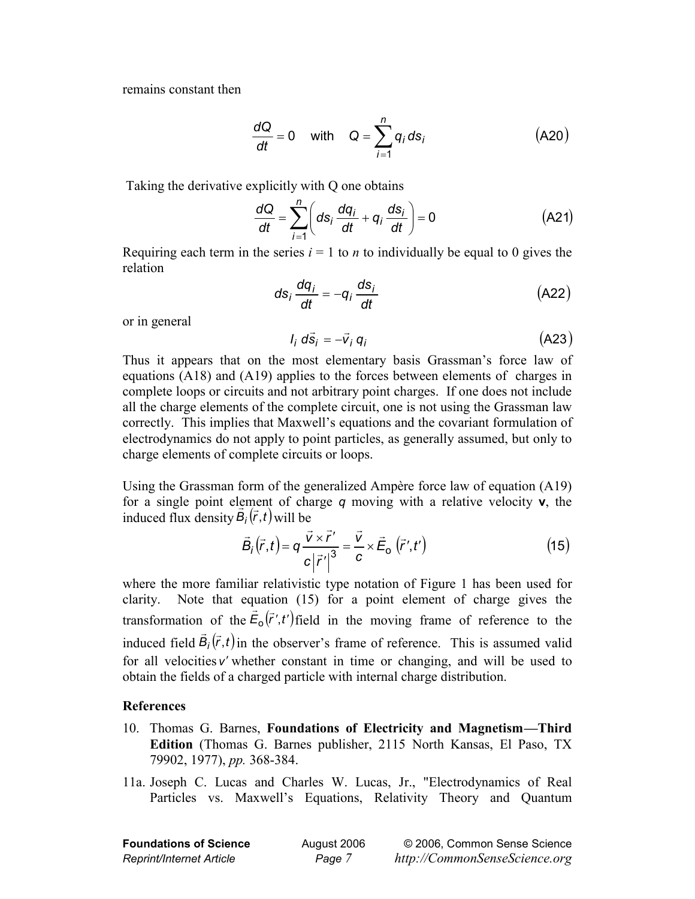remains constant then

$$
\frac{dQ}{dt} = 0 \quad \text{with} \quad Q = \sum_{i=1}^{n} q_i \, ds_i \tag{A20}
$$

Taking the derivative explicitly with Q one obtains

$$
\frac{dQ}{dt} = \sum_{i=1}^{n} \left( ds_i \frac{dq_i}{dt} + q_i \frac{ds_i}{dt} \right) = 0
$$
 (A21)

Requiring each term in the series  $i = 1$  to *n* to individually be equal to 0 gives the relation

$$
ds_i \frac{dq_i}{dt} = -q_i \frac{ds_i}{dt}
$$
 (A22)

or in general

$$
I_i d\vec{s}_i = -\vec{v}_i q_i \tag{A23}
$$

Thus it appears that on the most elementary basis Grassman's force law of equations (A18) and (A19) applies to the forces between elements of charges in complete loops or circuits and not arbitrary point charges. If one does not include all the charge elements of the complete circuit, one is not using the Grassman law correctly. This implies that Maxwell's equations and the covariant formulation of electrodynamics do not apply to point particles, as generally assumed, but only to charge elements of complete circuits or loops.

Using the Grassman form of the generalized Ampère force law of equation (A19) for a single point element of charge *q* moving with a relative velocity **v**, the induced flux density  $\vec{B}_i(\vec{r}, t)$  will be

$$
\vec{B}_i(\vec{r},t) = q \frac{\vec{v} \times \vec{r}'}{c |\vec{r}'|^{3}} = \frac{\vec{v}}{c} \times \vec{E}_o \left(\vec{r}',t'\right)
$$
(15)

where the more familiar relativistic type notation of Figure 1 has been used for clarity. Note that equation (15) for a point element of charge gives the transformation of the  $\vec{E}_0(\vec{r}', t')$  field in the moving frame of reference to the induced field  $\vec{B}_i(\vec{r},t)$  in the observer's frame of reference. This is assumed valid for all velocities *v*′ whether constant in time or changing, and will be used to obtain the fields of a charged particle with internal charge distribution.

## **References**

- 10. Thomas G. Barnes, **Foundations of Electricity and Magnetism—Third Edition** (Thomas G. Barnes publisher, 2115 North Kansas, El Paso, TX 79902, 1977), *pp.* 368-384.
- 11a. Joseph C. Lucas and Charles W. Lucas, Jr., "Electrodynamics of Real Particles vs. Maxwell's Equations, Relativity Theory and Quantum

| <b>Foundations of Science</b> | August 2006 | @200    |
|-------------------------------|-------------|---------|
| Reprint/Internet Article      | Page 7      | http:// |